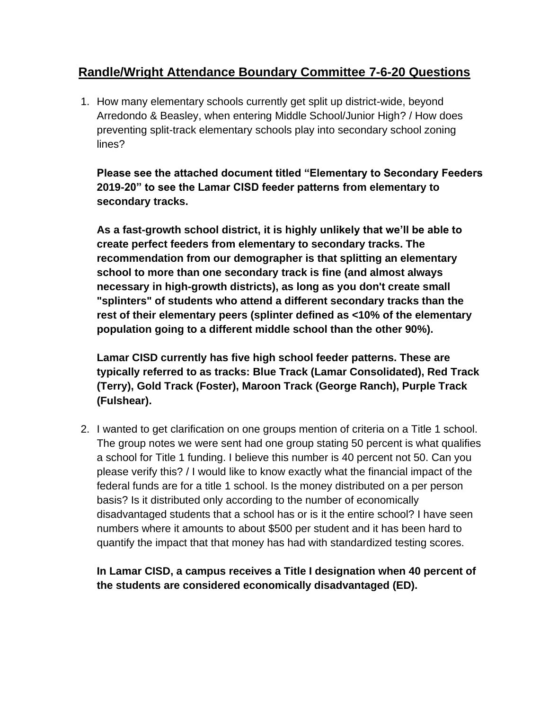## **Randle/Wright Attendance Boundary Committee 7-6-20 Questions**

1. How many elementary schools currently get split up district-wide, beyond Arredondo & Beasley, when entering Middle School/Junior High? / How does preventing split-track elementary schools play into secondary school zoning lines?

**Please see the attached document titled "Elementary to Secondary Feeders 2019-20" to see the Lamar CISD feeder patterns from elementary to secondary tracks.**

**As a fast-growth school district, it is highly unlikely that we'll be able to create perfect feeders from elementary to secondary tracks. The recommendation from our demographer is that splitting an elementary school to more than one secondary track is fine (and almost always necessary in high-growth districts), as long as you don't create small "splinters" of students who attend a different secondary tracks than the rest of their elementary peers (splinter defined as <10% of the elementary population going to a different middle school than the other 90%).** 

**Lamar CISD currently has five high school feeder patterns. These are typically referred to as tracks: Blue Track (Lamar Consolidated), Red Track (Terry), Gold Track (Foster), Maroon Track (George Ranch), Purple Track (Fulshear).** 

2. I wanted to get clarification on one groups mention of criteria on a Title 1 school. The group notes we were sent had one group stating 50 percent is what qualifies a school for Title 1 funding. I believe this number is 40 percent not 50. Can you please verify this? / I would like to know exactly what the financial impact of the federal funds are for a title 1 school. Is the money distributed on a per person basis? Is it distributed only according to the number of economically disadvantaged students that a school has or is it the entire school? I have seen numbers where it amounts to about \$500 per student and it has been hard to quantify the impact that that money has had with standardized testing scores.

## **In Lamar CISD, a campus receives a Title I designation when 40 percent of the students are considered economically disadvantaged (ED).**